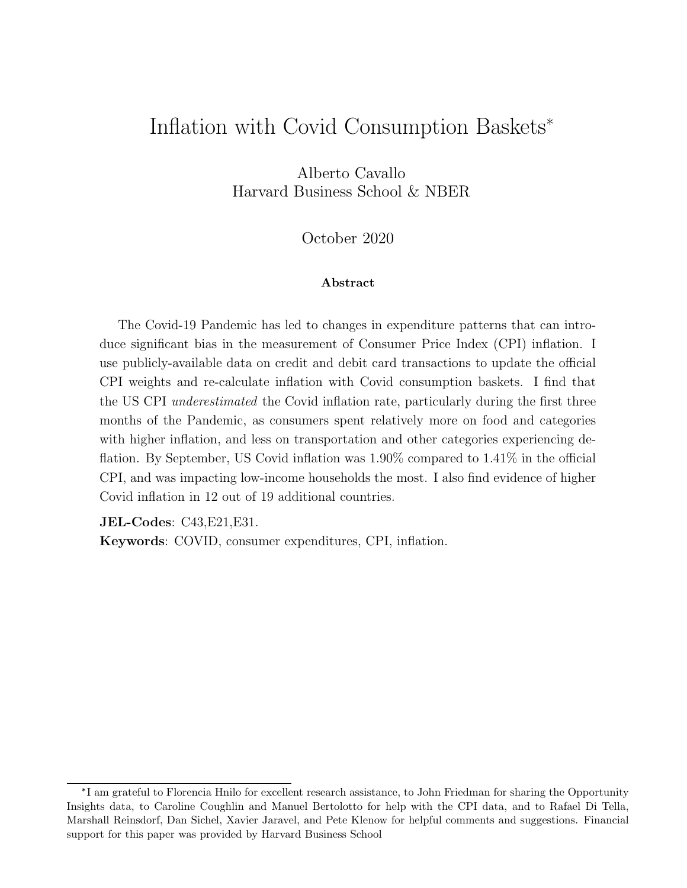# Inflation with Covid Consumption Baskets\*

Alberto Cavallo Harvard Business School & NBER

October 2020

### Abstract

The Covid-19 Pandemic has led to changes in expenditure patterns that can introduce significant bias in the measurement of Consumer Price Index (CPI) inflation. I use publicly-available data on credit and debit card transactions to update the official CPI weights and re-calculate inflation with Covid consumption baskets. I find that the US CPI underestimated the Covid inflation rate, particularly during the first three months of the Pandemic, as consumers spent relatively more on food and categories with higher inflation, and less on transportation and other categories experiencing deflation. By September, US Covid inflation was 1.90% compared to 1.41% in the official CPI, and was impacting low-income households the most. I also find evidence of higher Covid inflation in 12 out of 19 additional countries.

JEL-Codes: C43,E21,E31.

Keywords: COVID, consumer expenditures, CPI, inflation.

<sup>\*</sup> I am grateful to Florencia Hnilo for excellent research assistance, to John Friedman for sharing the Opportunity Insights data, to Caroline Coughlin and Manuel Bertolotto for help with the CPI data, and to Rafael Di Tella, Marshall Reinsdorf, Dan Sichel, Xavier Jaravel, and Pete Klenow for helpful comments and suggestions. Financial support for this paper was provided by Harvard Business School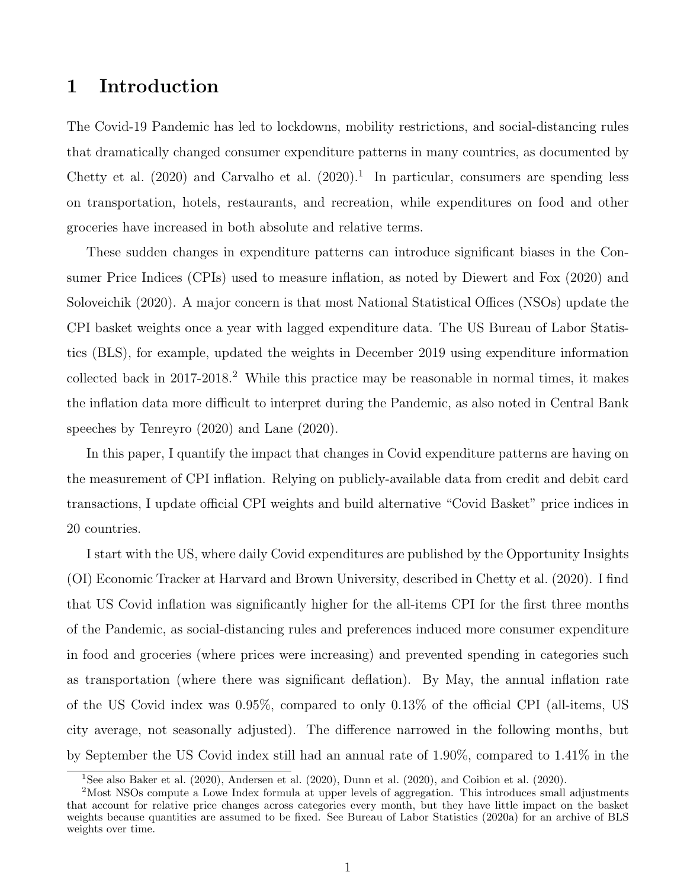## 1 Introduction

The Covid-19 Pandemic has led to lockdowns, mobility restrictions, and social-distancing rules that dramatically changed consumer expenditure patterns in many countries, as documented by [Chetty et al.](#page-18-0)  $(2020)$  and [Carvalho et al.](#page-17-0)  $(2020)$ .<sup>[1](#page-1-0)</sup> In particular, consumers are spending less on transportation, hotels, restaurants, and recreation, while expenditures on food and other groceries have increased in both absolute and relative terms.

These sudden changes in expenditure patterns can introduce significant biases in the Consumer Price Indices (CPIs) used to measure inflation, as noted by [Diewert and Fox](#page-18-1) [\(2020\)](#page-18-1) and [Soloveichik](#page-19-0) [\(2020\)](#page-19-0). A major concern is that most National Statistical Offices (NSOs) update the CPI basket weights once a year with lagged expenditure data. The US Bureau of Labor Statistics (BLS), for example, updated the weights in December 2019 using expenditure information collected back in  $2017-2018$  $2017-2018$ <sup>2</sup> While this practice may be reasonable in normal times, it makes the inflation data more difficult to interpret during the Pandemic, as also noted in Central Bank speeches by [Tenreyro](#page-19-1) [\(2020\)](#page-19-1) and [Lane](#page-19-2) [\(2020\)](#page-19-2).

In this paper, I quantify the impact that changes in Covid expenditure patterns are having on the measurement of CPI inflation. Relying on publicly-available data from credit and debit card transactions, I update official CPI weights and build alternative "Covid Basket" price indices in 20 countries.

I start with the US, where daily Covid expenditures are published by the Opportunity Insights (OI) Economic Tracker at Harvard and Brown University, described in [Chetty et al.](#page-18-0) [\(2020\)](#page-18-0). I find that US Covid inflation was significantly higher for the all-items CPI for the first three months of the Pandemic, as social-distancing rules and preferences induced more consumer expenditure in food and groceries (where prices were increasing) and prevented spending in categories such as transportation (where there was significant deflation). By May, the annual inflation rate of the US Covid index was 0.95%, compared to only 0.13% of the official CPI (all-items, US city average, not seasonally adjusted). The difference narrowed in the following months, but by September the US Covid index still had an annual rate of 1.90%, compared to 1.41% in the

<span id="page-1-1"></span><span id="page-1-0"></span><sup>1</sup>See also [Baker et al.](#page-17-1) [\(2020\)](#page-17-1), [Andersen et al.](#page-17-2) [\(2020\)](#page-17-2), [Dunn et al.](#page-18-2) [\(2020\)](#page-18-2), and [Coibion et al.](#page-18-3) [\(2020\)](#page-18-3).

<sup>2</sup>Most NSOs compute a Lowe Index formula at upper levels of aggregation. This introduces small adjustments that account for relative price changes across categories every month, but they have little impact on the basket weights because quantities are assumed to be fixed. See [Bureau of Labor Statistics](#page-17-3) [\(2020a\)](#page-17-3) for an archive of BLS weights over time.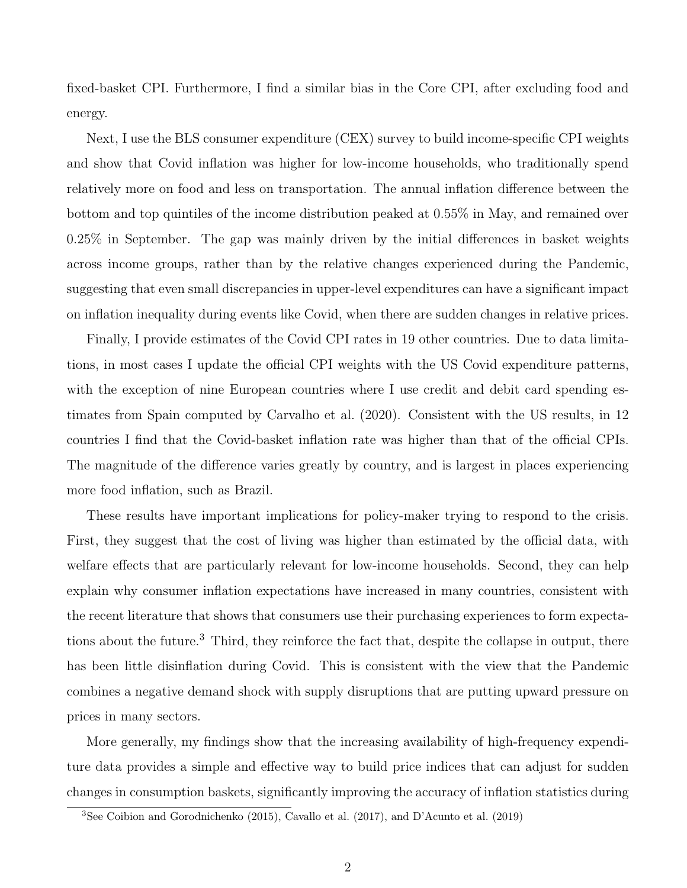fixed-basket CPI. Furthermore, I find a similar bias in the Core CPI, after excluding food and energy.

Next, I use the BLS consumer expenditure (CEX) survey to build income-specific CPI weights and show that Covid inflation was higher for low-income households, who traditionally spend relatively more on food and less on transportation. The annual inflation difference between the bottom and top quintiles of the income distribution peaked at 0.55% in May, and remained over 0.25% in September. The gap was mainly driven by the initial differences in basket weights across income groups, rather than by the relative changes experienced during the Pandemic, suggesting that even small discrepancies in upper-level expenditures can have a significant impact on inflation inequality during events like Covid, when there are sudden changes in relative prices.

Finally, I provide estimates of the Covid CPI rates in 19 other countries. Due to data limitations, in most cases I update the official CPI weights with the US Covid expenditure patterns, with the exception of nine European countries where I use credit and debit card spending estimates from Spain computed by [Carvalho et al.](#page-17-0) [\(2020\)](#page-17-0). Consistent with the US results, in 12 countries I find that the Covid-basket inflation rate was higher than that of the official CPIs. The magnitude of the difference varies greatly by country, and is largest in places experiencing more food inflation, such as Brazil.

These results have important implications for policy-maker trying to respond to the crisis. First, they suggest that the cost of living was higher than estimated by the official data, with welfare effects that are particularly relevant for low-income households. Second, they can help explain why consumer inflation expectations have increased in many countries, consistent with the recent literature that shows that consumers use their purchasing experiences to form expecta-tions about the future.<sup>[3](#page-2-0)</sup> Third, they reinforce the fact that, despite the collapse in output, there has been little disinflation during Covid. This is consistent with the view that the Pandemic combines a negative demand shock with supply disruptions that are putting upward pressure on prices in many sectors.

More generally, my findings show that the increasing availability of high-frequency expenditure data provides a simple and effective way to build price indices that can adjust for sudden changes in consumption baskets, significantly improving the accuracy of inflation statistics during

<span id="page-2-0"></span><sup>3</sup>See [Coibion and Gorodnichenko](#page-18-4) [\(2015\)](#page-18-4), [Cavallo et al.](#page-17-4) [\(2017\)](#page-17-4), and [D'Acunto et al.](#page-18-5) [\(2019\)](#page-18-5)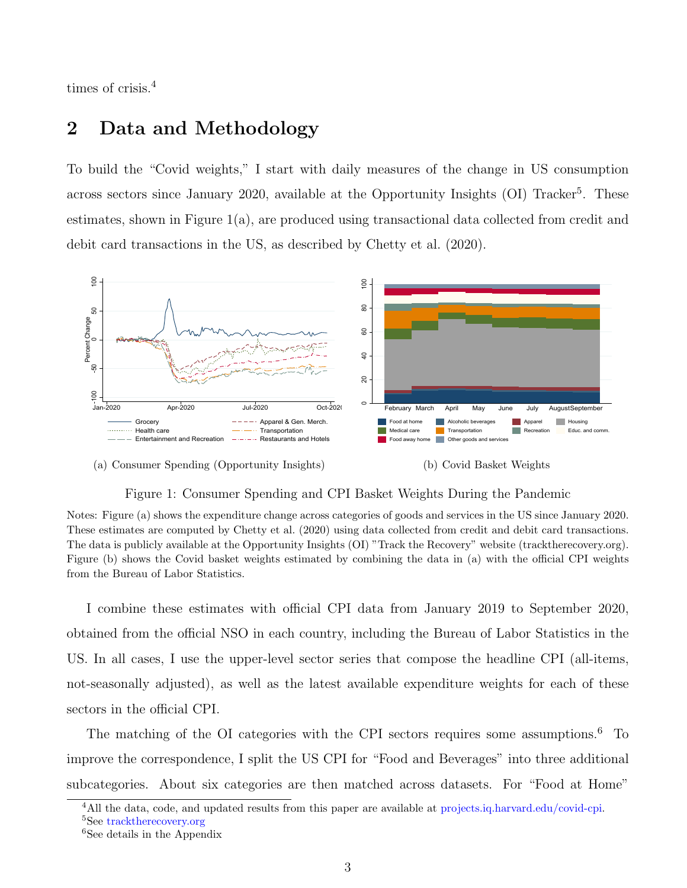times of crisis.[4](#page-3-0)

## <span id="page-3-4"></span>2 Data and Methodology

To build the "Covid weights," I start with daily measures of the change in US consumption across sectors since January 2020, available at the Opportunity Insights  $(OI)$  Tracker<sup>[5](#page-3-1)</sup>. These estimates, shown in Figure [1\(a\),](#page-3-2) are produced using transactional data collected from credit and debit card transactions in the US, as described by [Chetty et al.](#page-18-0) [\(2020\)](#page-18-0).



#### <span id="page-3-2"></span>(a) Consumer Spending (Opportunity Insights)



### Figure 1: Consumer Spending and CPI Basket Weights During the Pandemic

Notes: Figure (a) shows the expenditure change across categories of goods and services in the US since January 2020. These estimates are computed by [Chetty et al.](#page-18-0) [\(2020\)](#page-18-0) using data collected from credit and debit card transactions. The data is publicly available at the Opportunity Insights (OI) "Track the Recovery" website (tracktherecovery.org). Figure (b) shows the Covid basket weights estimated by combining the data in (a) with the official CPI weights from the Bureau of Labor Statistics.

I combine these estimates with official CPI data from January 2019 to September 2020, obtained from the official NSO in each country, including the Bureau of Labor Statistics in the US. In all cases, I use the upper-level sector series that compose the headline CPI (all-items, not-seasonally adjusted), as well as the latest available expenditure weights for each of these sectors in the official CPI.

The matching of the OI categories with the CPI sectors requires some assumptions.<sup>[6](#page-3-3)</sup> To improve the correspondence, I split the US CPI for "Food and Beverages" into three additional subcategories. About six categories are then matched across datasets. For "Food at Home"

<span id="page-3-1"></span><span id="page-3-0"></span><sup>&</sup>lt;sup>4</sup>All the data, code, and updated results from this paper are available at [projects.iq.harvard.edu/covid-cpi.](http://projects.iq.harvard.edu/covid-cpi.) <sup>5</sup>See [tracktherecovery.org](http://tracktherecovery.org)

<span id="page-3-3"></span><sup>&</sup>lt;sup>6</sup>See details in the Appendix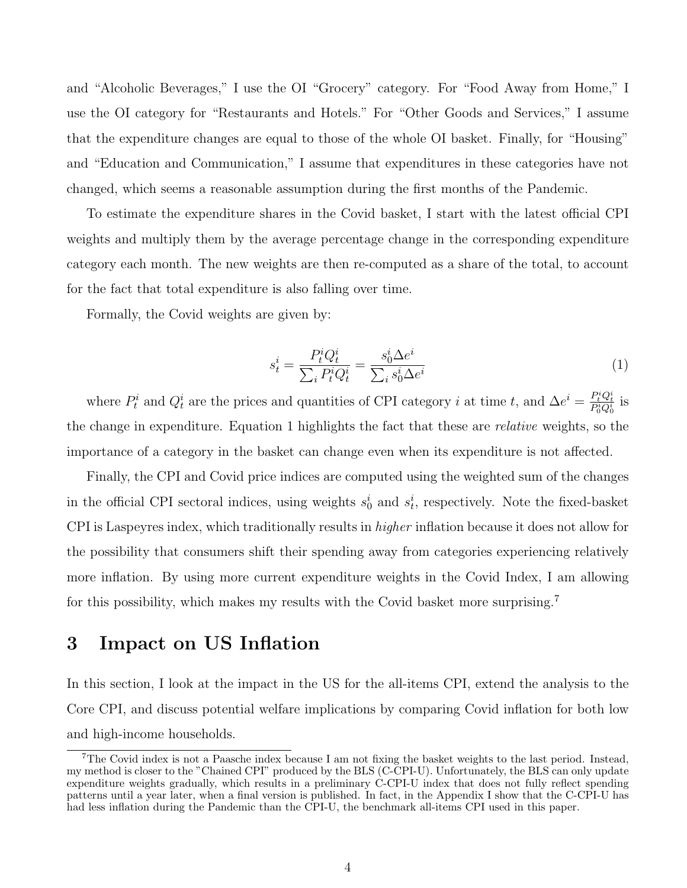and "Alcoholic Beverages," I use the OI "Grocery" category. For "Food Away from Home," I use the OI category for "Restaurants and Hotels." For "Other Goods and Services," I assume that the expenditure changes are equal to those of the whole OI basket. Finally, for "Housing" and "Education and Communication," I assume that expenditures in these categories have not changed, which seems a reasonable assumption during the first months of the Pandemic.

To estimate the expenditure shares in the Covid basket, I start with the latest official CPI weights and multiply them by the average percentage change in the corresponding expenditure category each month. The new weights are then re-computed as a share of the total, to account for the fact that total expenditure is also falling over time.

Formally, the Covid weights are given by:

<span id="page-4-0"></span>
$$
s_t^i = \frac{P_t^i Q_t^i}{\sum_i P_t^i Q_t^i} = \frac{s_0^i \Delta e^i}{\sum_i s_0^i \Delta e^i}
$$
 (1)

where  $P_t^i$  and  $Q_t^i$  are the prices and quantities of CPI category *i* at time *t*, and  $\Delta e^i = \frac{P_t^i Q_t^i}{P_0^i Q_0^i}$  is the change in expenditure. Equation [1](#page-4-0) highlights the fact that these are *relative* weights, so the importance of a category in the basket can change even when its expenditure is not affected.

Finally, the CPI and Covid price indices are computed using the weighted sum of the changes in the official CPI sectoral indices, using weights  $s_0^i$  and  $s_t^i$ , respectively. Note the fixed-basket CPI is Laspeyres index, which traditionally results in *higher* inflation because it does not allow for the possibility that consumers shift their spending away from categories experiencing relatively more inflation. By using more current expenditure weights in the Covid Index, I am allowing for this possibility, which makes my results with the Covid basket more surprising.<sup>[7](#page-4-1)</sup>

## 3 Impact on US Inflation

In this section, I look at the impact in the US for the all-items CPI, extend the analysis to the Core CPI, and discuss potential welfare implications by comparing Covid inflation for both low and high-income households.

<span id="page-4-1"></span><sup>&</sup>lt;sup>7</sup>The Covid index is not a Paasche index because I am not fixing the basket weights to the last period. Instead, my method is closer to the "Chained CPI" produced by the BLS (C-CPI-U). Unfortunately, the BLS can only update expenditure weights gradually, which results in a preliminary C-CPI-U index that does not fully reflect spending patterns until a year later, when a final version is published. In fact, in the Appendix I show that the C-CPI-U has had less inflation during the Pandemic than the CPI-U, the benchmark all-items CPI used in this paper.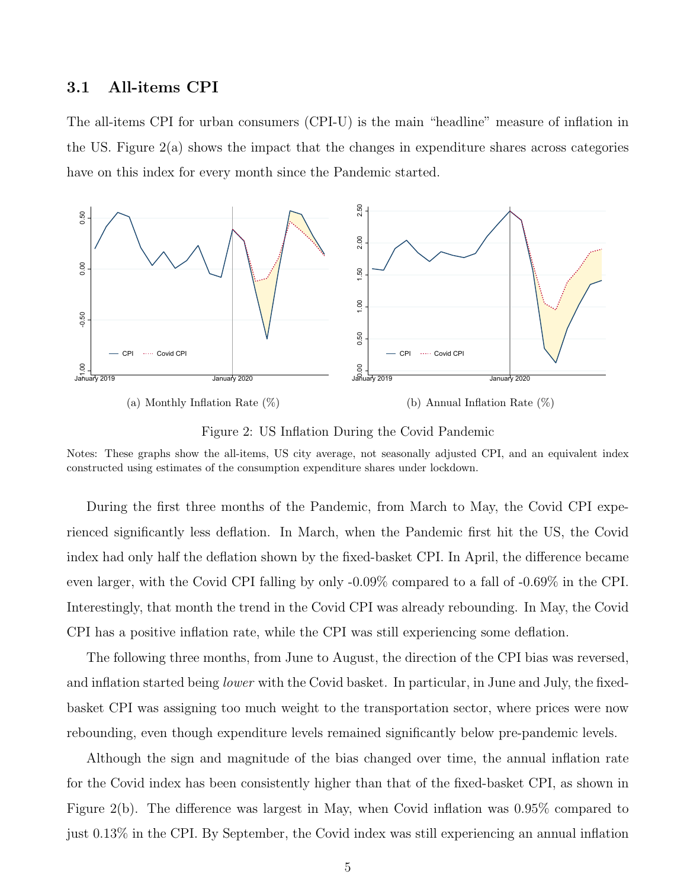### 3.1 All-items CPI

The all-items CPI for urban consumers (CPI-U) is the main "headline" measure of inflation in the US. Figure  $2(a)$  shows the impact that the changes in expenditure shares across categories have on this index for every month since the Pandemic started.

<span id="page-5-0"></span>

<span id="page-5-1"></span>(b) Annual Inflation Rate (%)

Figure 2: US Inflation During the Covid Pandemic

Notes: These graphs show the all-items, US city average, not seasonally adjusted CPI, and an equivalent index constructed using estimates of the consumption expenditure shares under lockdown.

During the first three months of the Pandemic, from March to May, the Covid CPI experienced significantly less deflation. In March, when the Pandemic first hit the US, the Covid index had only half the deflation shown by the fixed-basket CPI. In April, the difference became even larger, with the Covid CPI falling by only -0.09% compared to a fall of -0.69% in the CPI. Interestingly, that month the trend in the Covid CPI was already rebounding. In May, the Covid CPI has a positive inflation rate, while the CPI was still experiencing some deflation.

The following three months, from June to August, the direction of the CPI bias was reversed, and inflation started being lower with the Covid basket. In particular, in June and July, the fixedbasket CPI was assigning too much weight to the transportation sector, where prices were now rebounding, even though expenditure levels remained significantly below pre-pandemic levels.

Although the sign and magnitude of the bias changed over time, the annual inflation rate for the Covid index has been consistently higher than that of the fixed-basket CPI, as shown in Figure [2\(b\).](#page-5-1) The difference was largest in May, when Covid inflation was 0.95% compared to just 0.13% in the CPI. By September, the Covid index was still experiencing an annual inflation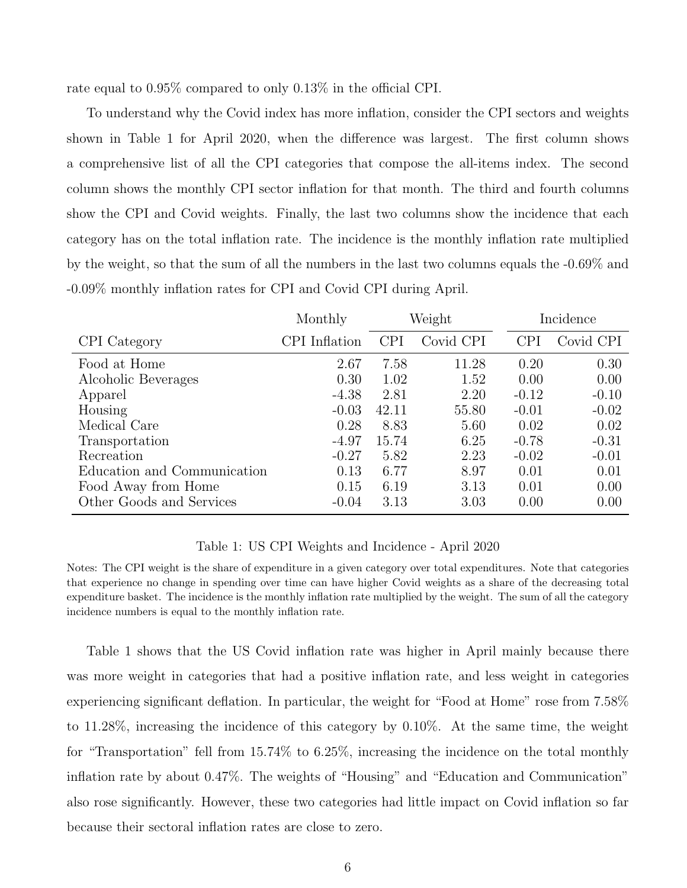rate equal to 0.95% compared to only 0.13% in the official CPI.

To understand why the Covid index has more inflation, consider the CPI sectors and weights shown in Table [1](#page-6-0) for April 2020, when the difference was largest. The first column shows a comprehensive list of all the CPI categories that compose the all-items index. The second column shows the monthly CPI sector inflation for that month. The third and fourth columns show the CPI and Covid weights. Finally, the last two columns show the incidence that each category has on the total inflation rate. The incidence is the monthly inflation rate multiplied by the weight, so that the sum of all the numbers in the last two columns equals the -0.69% and -0.09% monthly inflation rates for CPI and Covid CPI during April.

<span id="page-6-0"></span>

|                             | Monthly       | Weight     |           |            | Incidence |  |
|-----------------------------|---------------|------------|-----------|------------|-----------|--|
| CPI Category                | CPI Inflation | <b>CPI</b> | Covid CPI | <b>CPI</b> | Covid CPI |  |
| Food at Home                | 2.67          | 7.58       | 11.28     | 0.20       | 0.30      |  |
| Alcoholic Beverages         | 0.30          | 1.02       | 1.52      | 0.00       | 0.00      |  |
| Apparel                     | $-4.38$       | 2.81       | 2.20      | $-0.12$    | $-0.10$   |  |
| Housing                     | $-0.03$       | 42.11      | 55.80     | $-0.01$    | $-0.02$   |  |
| Medical Care                | 0.28          | 8.83       | 5.60      | 0.02       | 0.02      |  |
| Transportation              | $-4.97$       | 15.74      | 6.25      | $-0.78$    | $-0.31$   |  |
| Recreation                  | $-0.27$       | 5.82       | 2.23      | $-0.02$    | $-0.01$   |  |
| Education and Communication | 0.13          | 6.77       | 8.97      | 0.01       | 0.01      |  |
| Food Away from Home         | 0.15          | 6.19       | 3.13      | 0.01       | 0.00      |  |
| Other Goods and Services    | $-0.04$       | 3.13       | 3.03      | 0.00       | 0.00      |  |

### Table 1: US CPI Weights and Incidence - April 2020

Notes: The CPI weight is the share of expenditure in a given category over total expenditures. Note that categories that experience no change in spending over time can have higher Covid weights as a share of the decreasing total expenditure basket. The incidence is the monthly inflation rate multiplied by the weight. The sum of all the category incidence numbers is equal to the monthly inflation rate.

Table [1](#page-6-0) shows that the US Covid inflation rate was higher in April mainly because there was more weight in categories that had a positive inflation rate, and less weight in categories experiencing significant deflation. In particular, the weight for "Food at Home" rose from 7.58% to 11.28%, increasing the incidence of this category by 0.10%. At the same time, the weight for "Transportation" fell from 15.74% to 6.25%, increasing the incidence on the total monthly inflation rate by about 0.47%. The weights of "Housing" and "Education and Communication" also rose significantly. However, these two categories had little impact on Covid inflation so far because their sectoral inflation rates are close to zero.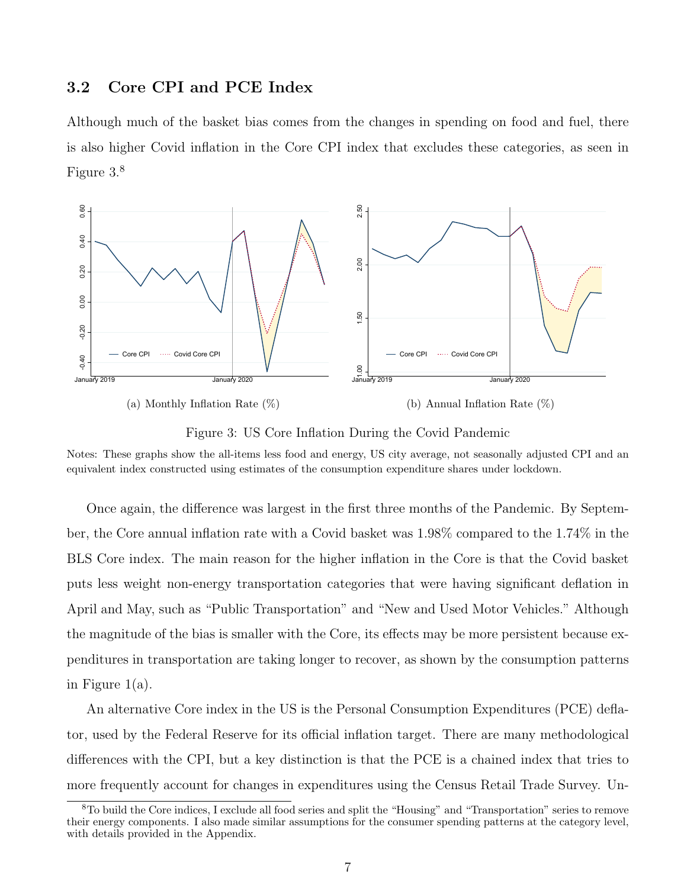### 3.2 Core CPI and PCE Index

Although much of the basket bias comes from the changes in spending on food and fuel, there is also higher Covid inflation in the Core CPI index that excludes these categories, as seen in Figure [3.](#page-7-0) [8](#page-7-1)

<span id="page-7-0"></span>

(b) Annual Inflation Rate (%)



Notes: These graphs show the all-items less food and energy, US city average, not seasonally adjusted CPI and an equivalent index constructed using estimates of the consumption expenditure shares under lockdown.

Once again, the difference was largest in the first three months of the Pandemic. By September, the Core annual inflation rate with a Covid basket was 1.98% compared to the 1.74% in the BLS Core index. The main reason for the higher inflation in the Core is that the Covid basket puts less weight non-energy transportation categories that were having significant deflation in April and May, such as "Public Transportation" and "New and Used Motor Vehicles." Although the magnitude of the bias is smaller with the Core, its effects may be more persistent because expenditures in transportation are taking longer to recover, as shown by the consumption patterns in Figure [1\(a\).](#page-3-2)

An alternative Core index in the US is the Personal Consumption Expenditures (PCE) deflator, used by the Federal Reserve for its official inflation target. There are many methodological differences with the CPI, but a key distinction is that the PCE is a chained index that tries to more frequently account for changes in expenditures using the Census Retail Trade Survey. Un-

<span id="page-7-1"></span><sup>8</sup>To build the Core indices, I exclude all food series and split the "Housing" and "Transportation" series to remove their energy components. I also made similar assumptions for the consumer spending patterns at the category level, with details provided in the Appendix.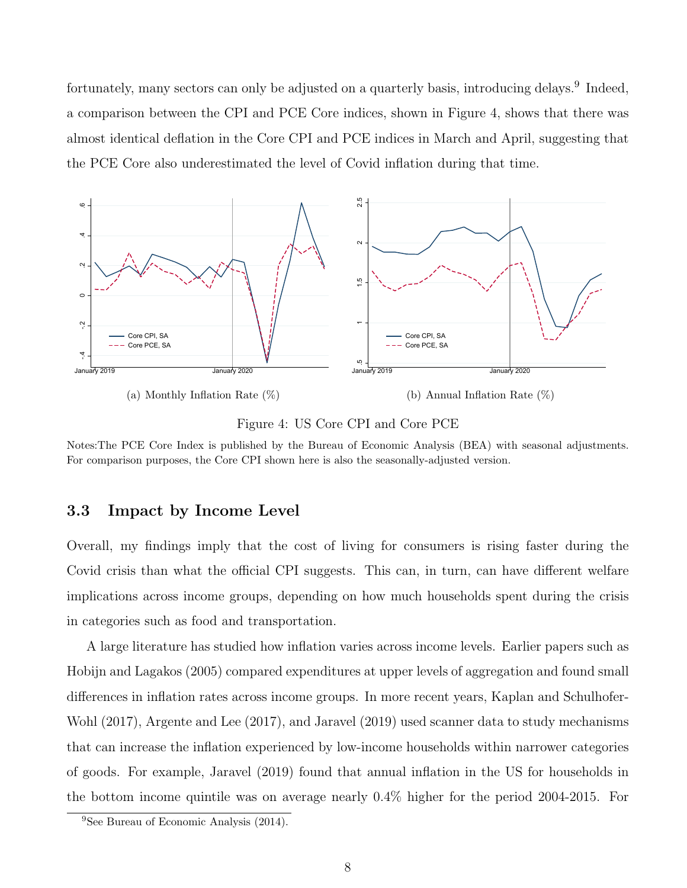fortunately, many sectors can only be adjusted on a quarterly basis, introducing delays.<sup>[9](#page-8-0)</sup> Indeed, a comparison between the CPI and PCE Core indices, shown in Figure [4,](#page-8-1) shows that there was almost identical deflation in the Core CPI and PCE indices in March and April, suggesting that the PCE Core also underestimated the level of Covid inflation during that time.

<span id="page-8-1"></span>

Figure 4: US Core CPI and Core PCE

Notes:The PCE Core Index is published by the Bureau of Economic Analysis (BEA) with seasonal adjustments. For comparison purposes, the Core CPI shown here is also the seasonally-adjusted version.

### 3.3 Impact by Income Level

Overall, my findings imply that the cost of living for consumers is rising faster during the Covid crisis than what the official CPI suggests. This can, in turn, can have different welfare implications across income groups, depending on how much households spent during the crisis in categories such as food and transportation.

A large literature has studied how inflation varies across income levels. Earlier papers such as [Hobijn and Lagakos](#page-18-6) [\(2005\)](#page-18-6) compared expenditures at upper levels of aggregation and found small differences in inflation rates across income groups. In more recent years, [Kaplan and Schulhofer-](#page-19-3)[Wohl](#page-19-3) [\(2017\)](#page-19-3), [Argente and Lee](#page-17-5) [\(2017\)](#page-17-5), and [Jaravel](#page-18-7) [\(2019\)](#page-18-7) used scanner data to study mechanisms that can increase the inflation experienced by low-income households within narrower categories of goods. For example, [Jaravel](#page-18-7) [\(2019\)](#page-18-7) found that annual inflation in the US for households in the bottom income quintile was on average nearly 0.4% higher for the period 2004-2015. For

<span id="page-8-0"></span><sup>9</sup>See [Bureau of Economic Analysis](#page-17-6) [\(2014\)](#page-17-6).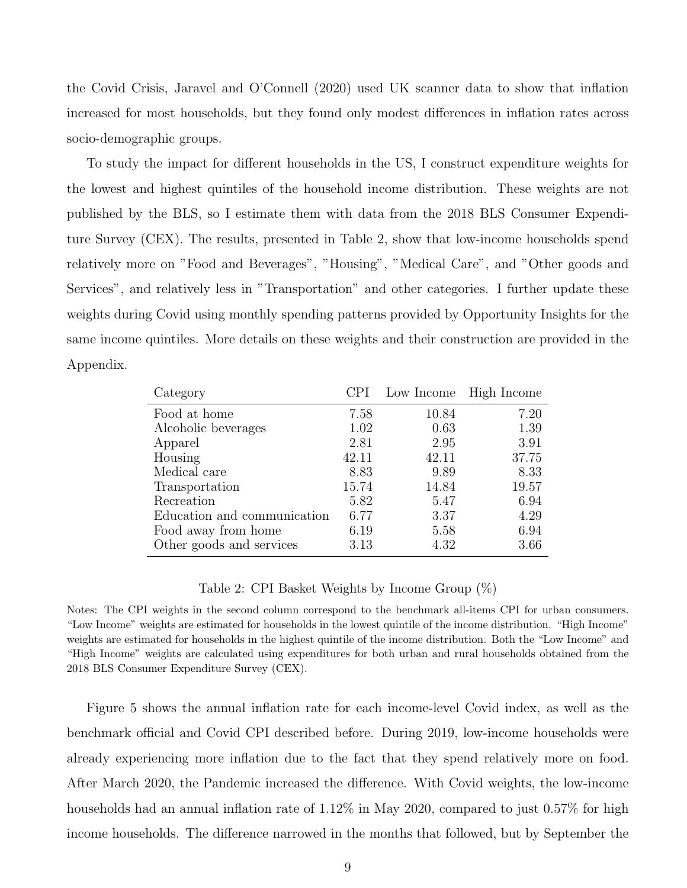the Covid Crisis, [Jaravel and O'Connell](#page-18-8) [\(2020\)](#page-18-8) used UK scanner data to show that inflation increased for most households, but they found only modest differences in inflation rates across socio-demographic groups.

To study the impact for different households in the US, I construct expenditure weights for the lowest and highest quintiles of the household income distribution. These weights are not published by the BLS, so I estimate them with data from the 2018 BLS Consumer Expenditure Survey (CEX). The results, presented in Table [2,](#page-9-0) show that low-income households spend relatively more on "Food and Beverages", "Housing", "Medical Care", and "Other goods and Services", and relatively less in "Transportation" and other categories. I further update these weights during Covid using monthly spending patterns provided by Opportunity Insights for the same income quintiles. More details on these weights and their construction are provided in the Appendix.

<span id="page-9-0"></span>

| Category                    |       |       | Low Income High Income |
|-----------------------------|-------|-------|------------------------|
| Food at home                | 7.58  | 10.84 | 7.20                   |
| Alcoholic beverages         | 1.02  | 0.63  | 1.39                   |
| Apparel                     | 2.81  | 2.95  | 3.91                   |
| Housing                     | 42.11 | 42.11 | 37.75                  |
| Medical care                | 8.83  | 9.89  | 8.33                   |
| Transportation              | 15.74 | 14.84 | 19.57                  |
| Recreation                  | 5.82  | 5.47  | 6.94                   |
| Education and communication | 6.77  | 3.37  | 4.29                   |
| Food away from home         | 6.19  | 5.58  | 6.94                   |
| Other goods and services    | 3.13  | 4.32  | 3.66                   |

#### Table 2: CPI Basket Weights by Income Group (%)

Notes: The CPI weights in the second column correspond to the benchmark all-items CPI for urban consumers. "Low Income" weights are estimated for households in the lowest quintile of the income distribution. "High Income" weights are estimated for households in the highest quintile of the income distribution. Both the "Low Income" and "High Income" weights are calculated using expenditures for both urban and rural households obtained from the 2018 BLS Consumer Expenditure Survey (CEX).

Figure [5](#page-10-0) shows the annual inflation rate for each income-level Covid index, as well as the benchmark official and Covid CPI described before. During 2019, low-income households were already experiencing more inflation due to the fact that they spend relatively more on food. After March 2020, the Pandemic increased the difference. With Covid weights, the low-income households had an annual inflation rate of 1.12% in May 2020, compared to just 0.57% for high income households. The difference narrowed in the months that followed, but by September the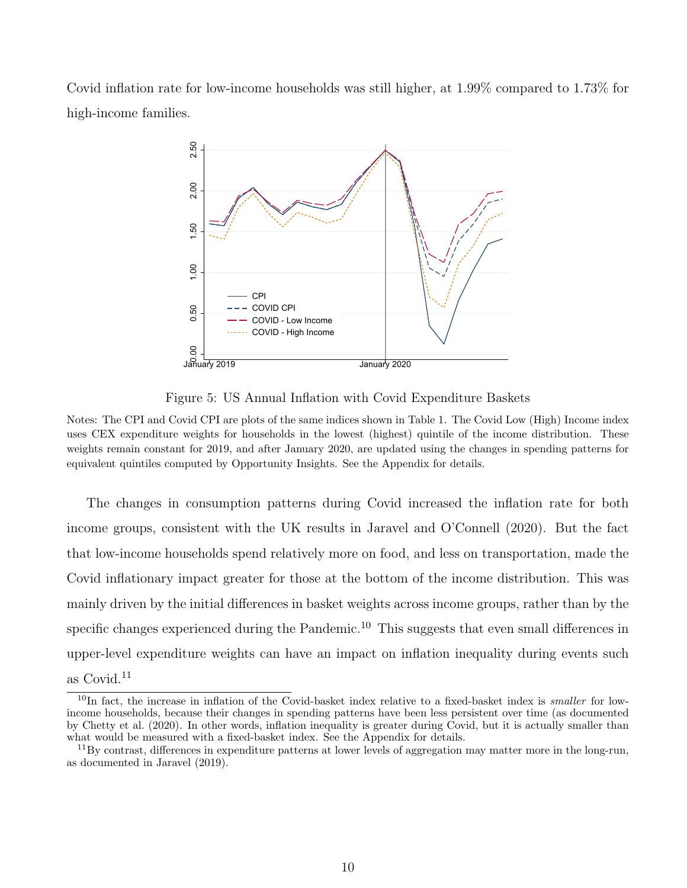<span id="page-10-0"></span>Covid inflation rate for low-income households was still higher, at 1.99% compared to 1.73% for high-income families.



Figure 5: US Annual Inflation with Covid Expenditure Baskets

Notes: The CPI and Covid CPI are plots of the same indices shown in Table 1. The Covid Low (High) Income index uses CEX expenditure weights for households in the lowest (highest) quintile of the income distribution. These weights remain constant for 2019, and after January 2020, are updated using the changes in spending patterns for equivalent quintiles computed by Opportunity Insights. See the Appendix for details.

The changes in consumption patterns during Covid increased the inflation rate for both income groups, consistent with the UK results in [Jaravel and O'Connell](#page-18-8) [\(2020\)](#page-18-8). But the fact that low-income households spend relatively more on food, and less on transportation, made the Covid inflationary impact greater for those at the bottom of the income distribution. This was mainly driven by the initial differences in basket weights across income groups, rather than by the specific changes experienced during the Pandemic.<sup>[10](#page-10-1)</sup> This suggests that even small differences in upper-level expenditure weights can have an impact on inflation inequality during events such as Covid.<sup>[11](#page-10-2)</sup>

<span id="page-10-1"></span> $10$ In fact, the increase in inflation of the Covid-basket index relative to a fixed-basket index is smaller for lowincome households, because their changes in spending patterns have been less persistent over time (as documented by [Chetty et al.](#page-18-0) [\(2020\)](#page-18-0). In other words, inflation inequality is greater during Covid, but it is actually smaller than what would be measured with a fixed-basket index. See the Appendix for details.

<span id="page-10-2"></span> $11\,\text{By contrast, differences in expenditure patterns at lower levels of aggregation may matter more in the long-run, }$ as documented in [Jaravel](#page-18-7) [\(2019\)](#page-18-7).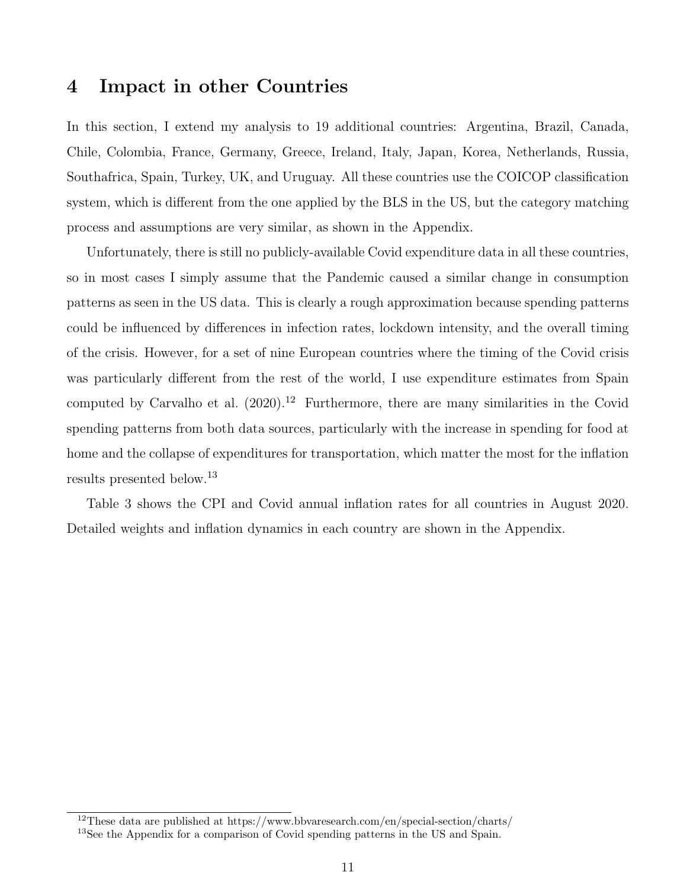### 4 Impact in other Countries

In this section, I extend my analysis to 19 additional countries: Argentina, Brazil, Canada, Chile, Colombia, France, Germany, Greece, Ireland, Italy, Japan, Korea, Netherlands, Russia, Southafrica, Spain, Turkey, UK, and Uruguay. All these countries use the COICOP classification system, which is different from the one applied by the BLS in the US, but the category matching process and assumptions are very similar, as shown in the Appendix.

Unfortunately, there is still no publicly-available Covid expenditure data in all these countries, so in most cases I simply assume that the Pandemic caused a similar change in consumption patterns as seen in the US data. This is clearly a rough approximation because spending patterns could be influenced by differences in infection rates, lockdown intensity, and the overall timing of the crisis. However, for a set of nine European countries where the timing of the Covid crisis was particularly different from the rest of the world, I use expenditure estimates from Spain computed by [Carvalho et al.](#page-17-0)  $(2020)^{12}$  $(2020)^{12}$  $(2020)^{12}$  $(2020)^{12}$  Furthermore, there are many similarities in the Covid spending patterns from both data sources, particularly with the increase in spending for food at home and the collapse of expenditures for transportation, which matter the most for the inflation results presented below.[13](#page-11-1)

Table [3](#page-12-0) shows the CPI and Covid annual inflation rates for all countries in August 2020. Detailed weights and inflation dynamics in each country are shown in the Appendix.

<span id="page-11-0"></span><sup>&</sup>lt;sup>12</sup>These data are published at https://www.bbvaresearch.com/en/special-section/charts/

<span id="page-11-1"></span><sup>&</sup>lt;sup>13</sup>See the Appendix for a comparison of Covid spending patterns in the US and Spain.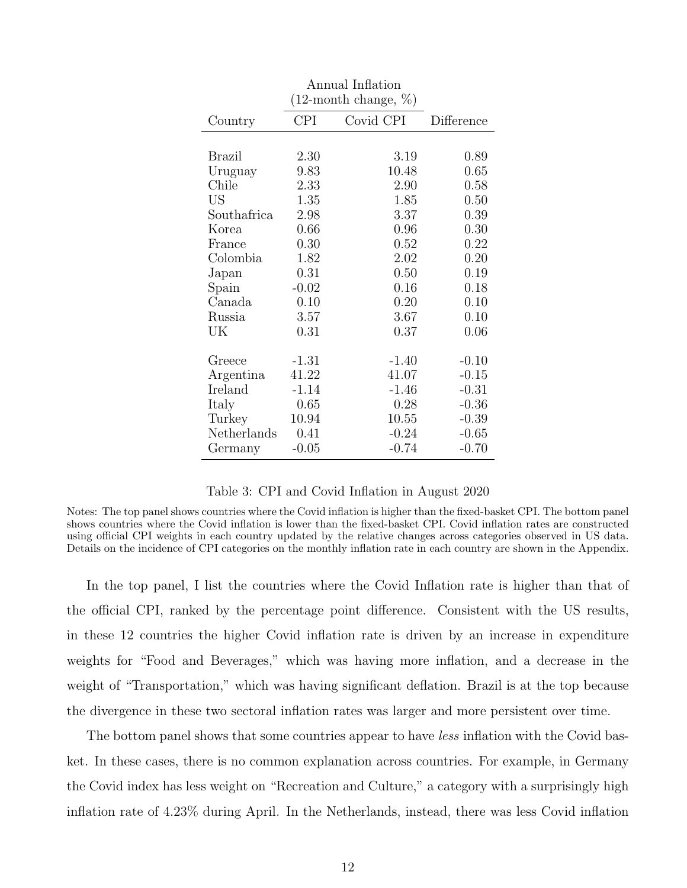<span id="page-12-0"></span>

| Annual Inflation |                            |           |            |  |  |  |
|------------------|----------------------------|-----------|------------|--|--|--|
|                  | $(12$ -month change, $\%)$ |           |            |  |  |  |
| Country          | <b>CPI</b>                 | Covid CPI | Difference |  |  |  |
|                  |                            |           |            |  |  |  |
| <b>Brazil</b>    | 2.30                       | 3.19      | 0.89       |  |  |  |
| Uruguay          | 9.83                       | 10.48     | 0.65       |  |  |  |
| Chile            | 2.33                       | 2.90      | 0.58       |  |  |  |
| US               | 1.35                       | 1.85      | 0.50       |  |  |  |
| Southafrica      | 2.98                       | 3.37      | 0.39       |  |  |  |
| Korea            | 0.66                       | 0.96      | 0.30       |  |  |  |
| France           | 0.30                       | 0.52      | 0.22       |  |  |  |
| Colombia         | 1.82                       | 2.02      | 0.20       |  |  |  |
| Japan            | 0.31                       | 0.50      | 0.19       |  |  |  |
| Spain            | $-0.02$                    | 0.16      | 0.18       |  |  |  |
| Canada           | 0.10                       | 0.20      | 0.10       |  |  |  |
| Russia           | 3.57                       | 3.67      | 0.10       |  |  |  |
| UK               | 0.31                       | 0.37      | 0.06       |  |  |  |
|                  |                            |           |            |  |  |  |
| Greece           | $-1.31$                    | $-1.40$   | $-0.10$    |  |  |  |
| Argentina        | 41.22                      | 41.07     | $-0.15$    |  |  |  |
| Ireland          | $-1.14$                    | $-1.46$   | $-0.31$    |  |  |  |
| Italy            | 0.65                       | 0.28      | $-0.36$    |  |  |  |
| Turkey           | 10.94                      | 10.55     | $-0.39$    |  |  |  |
| Netherlands      | 0.41                       | $-0.24$   | $-0.65$    |  |  |  |
| Germany          | $-0.05$                    | $-0.74$   | $-0.70$    |  |  |  |

### Table 3: CPI and Covid Inflation in August 2020

Notes: The top panel shows countries where the Covid inflation is higher than the fixed-basket CPI. The bottom panel shows countries where the Covid inflation is lower than the fixed-basket CPI. Covid inflation rates are constructed using official CPI weights in each country updated by the relative changes across categories observed in US data. Details on the incidence of CPI categories on the monthly inflation rate in each country are shown in the Appendix.

In the top panel, I list the countries where the Covid Inflation rate is higher than that of the official CPI, ranked by the percentage point difference. Consistent with the US results, in these 12 countries the higher Covid inflation rate is driven by an increase in expenditure weights for "Food and Beverages," which was having more inflation, and a decrease in the weight of "Transportation," which was having significant deflation. Brazil is at the top because the divergence in these two sectoral inflation rates was larger and more persistent over time.

The bottom panel shows that some countries appear to have *less* inflation with the Covid basket. In these cases, there is no common explanation across countries. For example, in Germany the Covid index has less weight on "Recreation and Culture," a category with a surprisingly high inflation rate of 4.23% during April. In the Netherlands, instead, there was less Covid inflation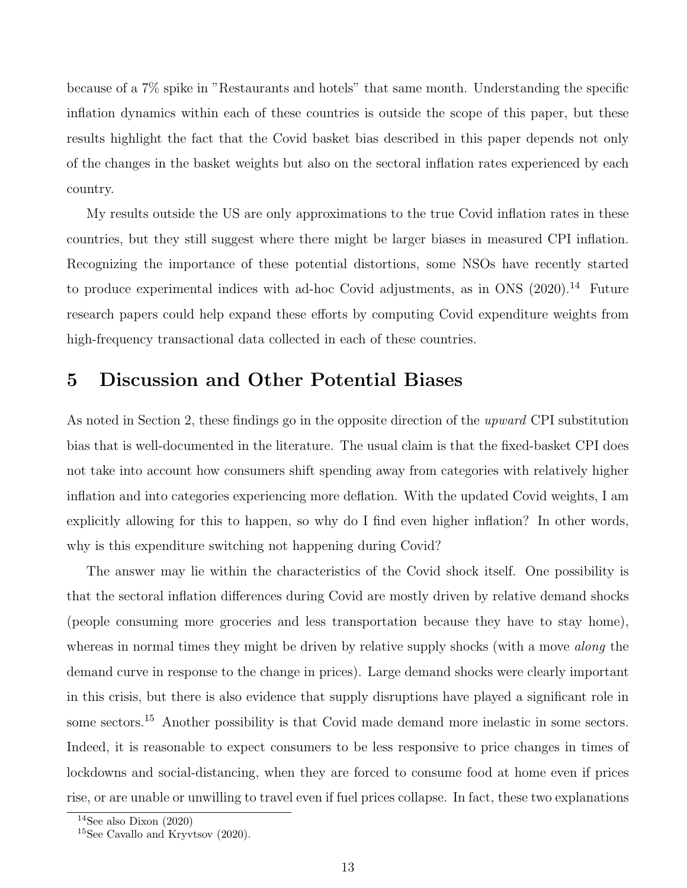because of a 7% spike in "Restaurants and hotels" that same month. Understanding the specific inflation dynamics within each of these countries is outside the scope of this paper, but these results highlight the fact that the Covid basket bias described in this paper depends not only of the changes in the basket weights but also on the sectoral inflation rates experienced by each country.

My results outside the US are only approximations to the true Covid inflation rates in these countries, but they still suggest where there might be larger biases in measured CPI inflation. Recognizing the importance of these potential distortions, some NSOs have recently started to produce experimental indices with ad-hoc Covid adjustments, as in [ONS](#page-19-4)  $(2020).<sup>14</sup>$  $(2020).<sup>14</sup>$  $(2020).<sup>14</sup>$  $(2020).<sup>14</sup>$  Future research papers could help expand these efforts by computing Covid expenditure weights from high-frequency transactional data collected in each of these countries.

## 5 Discussion and Other Potential Biases

As noted in Section [2,](#page-3-4) these findings go in the opposite direction of the upward CPI substitution bias that is well-documented in the literature. The usual claim is that the fixed-basket CPI does not take into account how consumers shift spending away from categories with relatively higher inflation and into categories experiencing more deflation. With the updated Covid weights, I am explicitly allowing for this to happen, so why do I find even higher inflation? In other words, why is this expenditure switching not happening during Covid?

The answer may lie within the characteristics of the Covid shock itself. One possibility is that the sectoral inflation differences during Covid are mostly driven by relative demand shocks (people consuming more groceries and less transportation because they have to stay home), whereas in normal times they might be driven by relative supply shocks (with a move *along* the demand curve in response to the change in prices). Large demand shocks were clearly important in this crisis, but there is also evidence that supply disruptions have played a significant role in some sectors.<sup>[15](#page-13-1)</sup> Another possibility is that Covid made demand more inelastic in some sectors. Indeed, it is reasonable to expect consumers to be less responsive to price changes in times of lockdowns and social-distancing, when they are forced to consume food at home even if prices rise, or are unable or unwilling to travel even if fuel prices collapse. In fact, these two explanations

<span id="page-13-0"></span> $14$ See also [Dixon](#page-18-9) [\(2020\)](#page-18-9)

<span id="page-13-1"></span><sup>15</sup>See [Cavallo and Kryvtsov](#page-17-7) [\(2020\)](#page-17-7).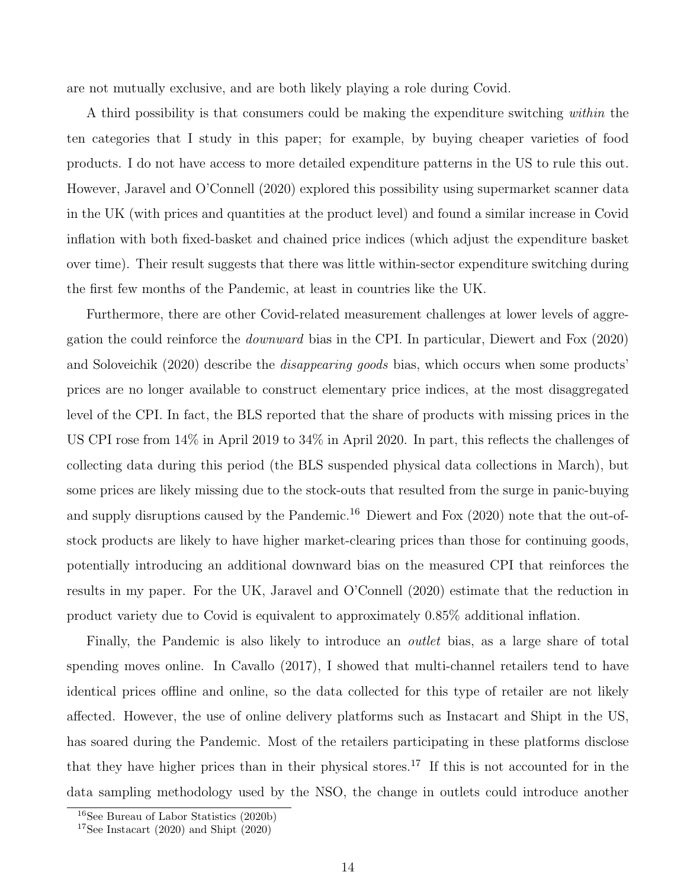are not mutually exclusive, and are both likely playing a role during Covid.

A third possibility is that consumers could be making the expenditure switching within the ten categories that I study in this paper; for example, by buying cheaper varieties of food products. I do not have access to more detailed expenditure patterns in the US to rule this out. However, [Jaravel and O'Connell](#page-18-8) [\(2020\)](#page-18-8) explored this possibility using supermarket scanner data in the UK (with prices and quantities at the product level) and found a similar increase in Covid inflation with both fixed-basket and chained price indices (which adjust the expenditure basket over time). Their result suggests that there was little within-sector expenditure switching during the first few months of the Pandemic, at least in countries like the UK.

Furthermore, there are other Covid-related measurement challenges at lower levels of aggregation the could reinforce the downward bias in the CPI. In particular, [Diewert and Fox](#page-18-1) [\(2020\)](#page-18-1) and [Soloveichik](#page-19-0) [\(2020\)](#page-19-0) describe the disappearing goods bias, which occurs when some products' prices are no longer available to construct elementary price indices, at the most disaggregated level of the CPI. In fact, the BLS reported that the share of products with missing prices in the US CPI rose from 14% in April 2019 to 34% in April 2020. In part, this reflects the challenges of collecting data during this period (the BLS suspended physical data collections in March), but some prices are likely missing due to the stock-outs that resulted from the surge in panic-buying and supply disruptions caused by the Pandemic.<sup>[16](#page-14-0)</sup> [Diewert and Fox](#page-18-1)  $(2020)$  note that the out-ofstock products are likely to have higher market-clearing prices than those for continuing goods, potentially introducing an additional downward bias on the measured CPI that reinforces the results in my paper. For the UK, [Jaravel and O'Connell](#page-18-8) [\(2020\)](#page-18-8) estimate that the reduction in product variety due to Covid is equivalent to approximately 0.85% additional inflation.

Finally, the Pandemic is also likely to introduce an *outlet* bias, as a large share of total spending moves online. In [Cavallo](#page-17-8) [\(2017\)](#page-17-8), I showed that multi-channel retailers tend to have identical prices offline and online, so the data collected for this type of retailer are not likely affected. However, the use of online delivery platforms such as Instacart and Shipt in the US, has soared during the Pandemic. Most of the retailers participating in these platforms disclose that they have higher prices than in their physical stores.[17](#page-14-1) If this is not accounted for in the data sampling methodology used by the NSO, the change in outlets could introduce another

<span id="page-14-0"></span><sup>16</sup>See [Bureau of Labor Statistics](#page-17-9) [\(2020b\)](#page-17-9)

<span id="page-14-1"></span><sup>&</sup>lt;sup>17</sup>See [Instacart](#page-18-10) [\(2020\)](#page-19-5) and [Shipt](#page-19-5) (2020)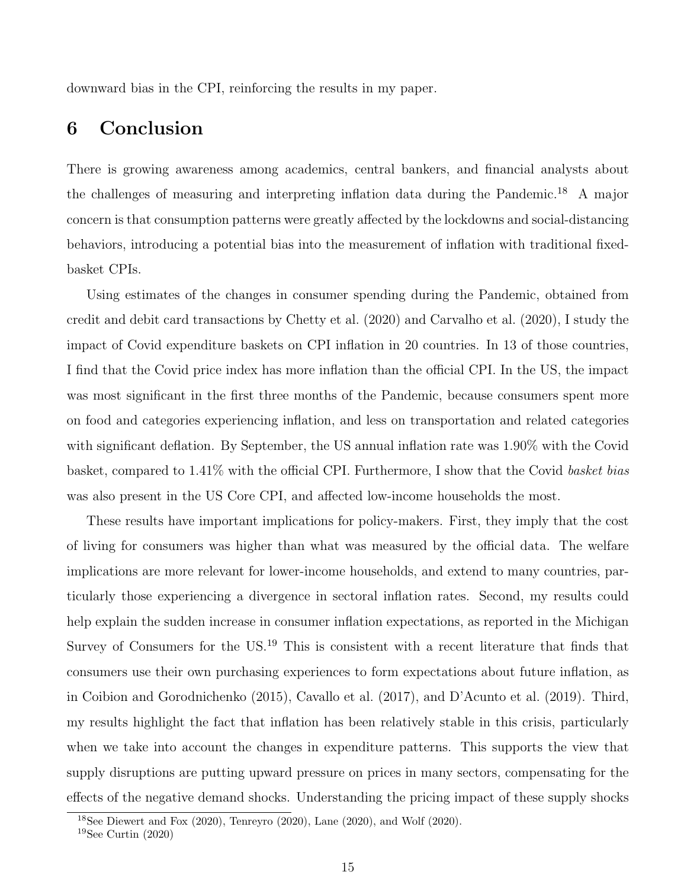downward bias in the CPI, reinforcing the results in my paper.

## 6 Conclusion

There is growing awareness among academics, central bankers, and financial analysts about the challenges of measuring and interpreting inflation data during the Pandemic.[18](#page-15-0) A major concern is that consumption patterns were greatly affected by the lockdowns and social-distancing behaviors, introducing a potential bias into the measurement of inflation with traditional fixedbasket CPIs.

Using estimates of the changes in consumer spending during the Pandemic, obtained from credit and debit card transactions by [Chetty et al.](#page-18-0) [\(2020\)](#page-18-0) and [Carvalho et al.](#page-17-0) [\(2020\)](#page-17-0), I study the impact of Covid expenditure baskets on CPI inflation in 20 countries. In 13 of those countries, I find that the Covid price index has more inflation than the official CPI. In the US, the impact was most significant in the first three months of the Pandemic, because consumers spent more on food and categories experiencing inflation, and less on transportation and related categories with significant deflation. By September, the US annual inflation rate was  $1.90\%$  with the Covid basket, compared to 1.41% with the official CPI. Furthermore, I show that the Covid basket bias was also present in the US Core CPI, and affected low-income households the most.

These results have important implications for policy-makers. First, they imply that the cost of living for consumers was higher than what was measured by the official data. The welfare implications are more relevant for lower-income households, and extend to many countries, particularly those experiencing a divergence in sectoral inflation rates. Second, my results could help explain the sudden increase in consumer inflation expectations, as reported in the Michigan Survey of Consumers for the US.[19](#page-15-1) This is consistent with a recent literature that finds that consumers use their own purchasing experiences to form expectations about future inflation, as in [Coibion and Gorodnichenko](#page-18-4) [\(2015\)](#page-18-4), [Cavallo et al.](#page-17-4) [\(2017\)](#page-17-4), and [D'Acunto et al.](#page-18-5) [\(2019\)](#page-18-5). Third, my results highlight the fact that inflation has been relatively stable in this crisis, particularly when we take into account the changes in expenditure patterns. This supports the view that supply disruptions are putting upward pressure on prices in many sectors, compensating for the effects of the negative demand shocks. Understanding the pricing impact of these supply shocks

<span id="page-15-0"></span> $18$ See [Diewert and Fox](#page-18-1) [\(2020\)](#page-19-6), [Tenreyro](#page-19-1) (2020), [Lane](#page-19-2) (2020), and [Wolf](#page-19-6) (2020).

<span id="page-15-1"></span> $19$ See [Curtin](#page-18-11) [\(2020\)](#page-18-11)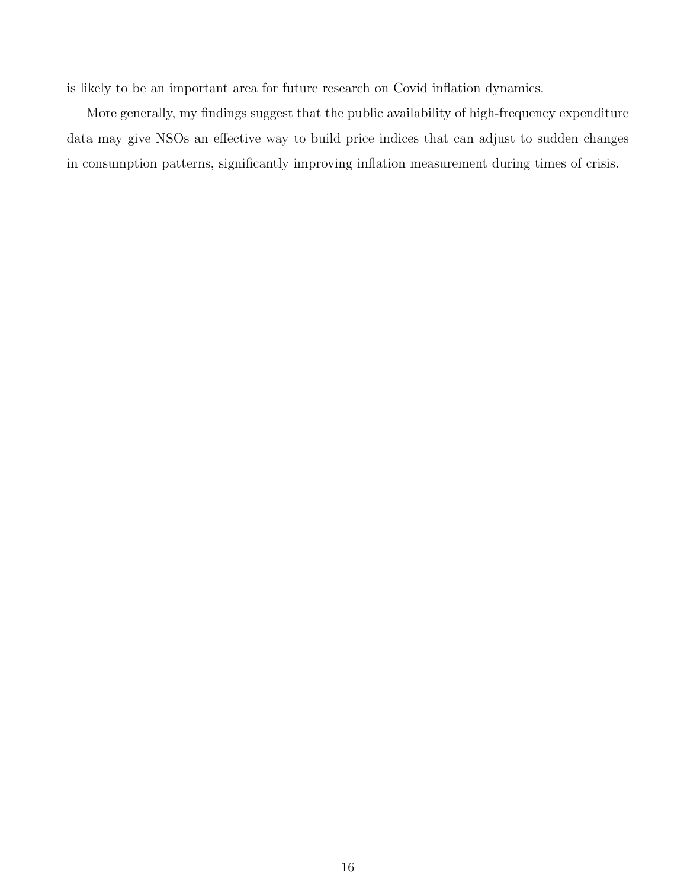is likely to be an important area for future research on Covid inflation dynamics.

More generally, my findings suggest that the public availability of high-frequency expenditure data may give NSOs an effective way to build price indices that can adjust to sudden changes in consumption patterns, significantly improving inflation measurement during times of crisis.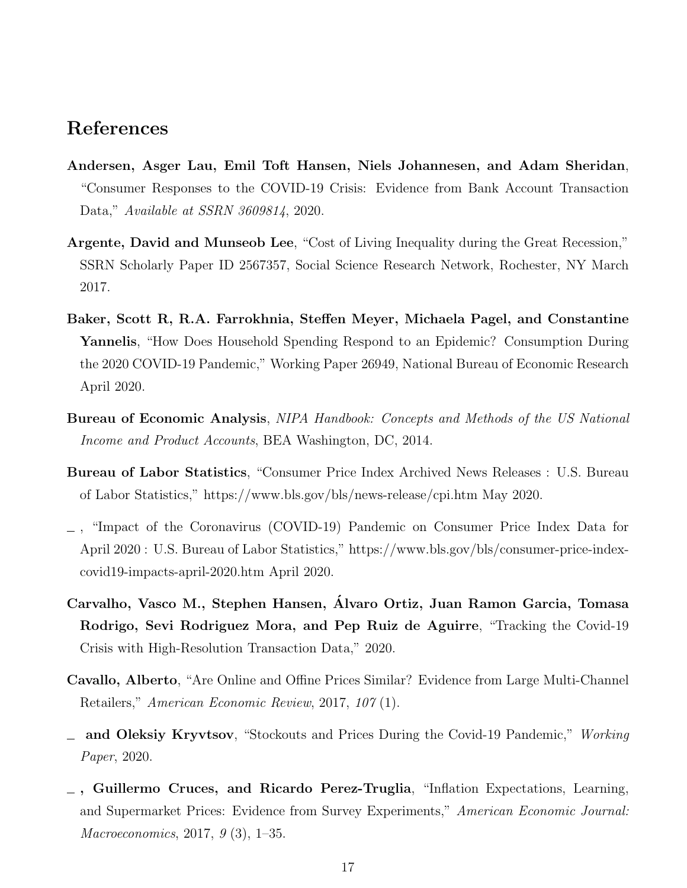## References

- <span id="page-17-2"></span>Andersen, Asger Lau, Emil Toft Hansen, Niels Johannesen, and Adam Sheridan, "Consumer Responses to the COVID-19 Crisis: Evidence from Bank Account Transaction Data," Available at SSRN 3609814, 2020.
- <span id="page-17-5"></span>Argente, David and Munseob Lee, "Cost of Living Inequality during the Great Recession," SSRN Scholarly Paper ID 2567357, Social Science Research Network, Rochester, NY March 2017.
- <span id="page-17-1"></span>Baker, Scott R, R.A. Farrokhnia, Steffen Meyer, Michaela Pagel, and Constantine Yannelis, "How Does Household Spending Respond to an Epidemic? Consumption During the 2020 COVID-19 Pandemic," Working Paper 26949, National Bureau of Economic Research April 2020.
- <span id="page-17-6"></span>Bureau of Economic Analysis, NIPA Handbook: Concepts and Methods of the US National Income and Product Accounts, BEA Washington, DC, 2014.
- <span id="page-17-3"></span>Bureau of Labor Statistics, "Consumer Price Index Archived News Releases : U.S. Bureau of Labor Statistics," https://www.bls.gov/bls/news-release/cpi.htm May 2020.
- <span id="page-17-9"></span>, "Impact of the Coronavirus (COVID-19) Pandemic on Consumer Price Index Data for April 2020 : U.S. Bureau of Labor Statistics," https://www.bls.gov/bls/consumer-price-indexcovid19-impacts-april-2020.htm April 2020.
- <span id="page-17-0"></span>Carvalho, Vasco M., Stephen Hansen, Alvaro Ortiz, Juan Ramon Garcia, Tomasa ´ Rodrigo, Sevi Rodriguez Mora, and Pep Ruiz de Aguirre, "Tracking the Covid-19 Crisis with High-Resolution Transaction Data," 2020.
- <span id="page-17-8"></span>Cavallo, Alberto, "Are Online and Offine Prices Similar? Evidence from Large Multi-Channel Retailers," American Economic Review, 2017, 107 (1).
- <span id="page-17-7"></span><sub>1</sub> and Oleksiy Kryvtsov, "Stockouts and Prices During the Covid-19 Pandemic," Working Paper, 2020.
- <span id="page-17-4"></span>, Guillermo Cruces, and Ricardo Perez-Truglia, "Inflation Expectations, Learning, and Supermarket Prices: Evidence from Survey Experiments," American Economic Journal: Macroeconomics, 2017, 9 (3), 1–35.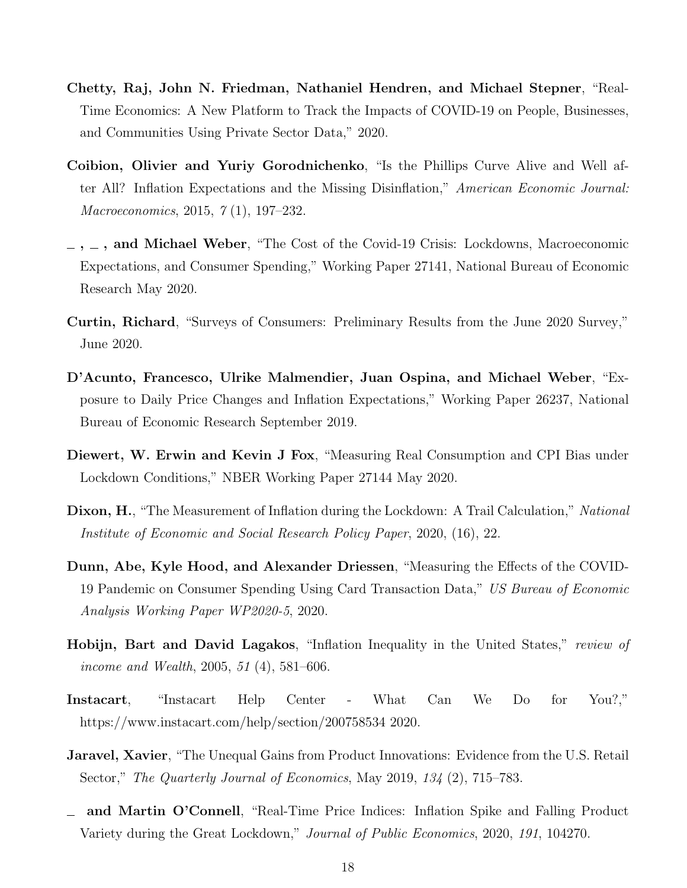- <span id="page-18-0"></span>Chetty, Raj, John N. Friedman, Nathaniel Hendren, and Michael Stepner, "Real-Time Economics: A New Platform to Track the Impacts of COVID-19 on People, Businesses, and Communities Using Private Sector Data," 2020.
- <span id="page-18-4"></span>Coibion, Olivier and Yuriy Gorodnichenko, "Is the Phillips Curve Alive and Well after All? Inflation Expectations and the Missing Disinflation," American Economic Journal: Macroeconomics, 2015, 7 (1), 197–232.
- <span id="page-18-3"></span> $\sim$ ,  $\sim$ , and Michael Weber, "The Cost of the Covid-19 Crisis: Lockdowns, Macroeconomic Expectations, and Consumer Spending," Working Paper 27141, National Bureau of Economic Research May 2020.
- <span id="page-18-11"></span>Curtin, Richard, "Surveys of Consumers: Preliminary Results from the June 2020 Survey," June 2020.
- <span id="page-18-5"></span>D'Acunto, Francesco, Ulrike Malmendier, Juan Ospina, and Michael Weber, "Exposure to Daily Price Changes and Inflation Expectations," Working Paper 26237, National Bureau of Economic Research September 2019.
- <span id="page-18-1"></span>Diewert, W. Erwin and Kevin J Fox, "Measuring Real Consumption and CPI Bias under Lockdown Conditions," NBER Working Paper 27144 May 2020.
- <span id="page-18-9"></span>Dixon, H., "The Measurement of Inflation during the Lockdown: A Trail Calculation," National Institute of Economic and Social Research Policy Paper, 2020, (16), 22.
- <span id="page-18-2"></span>Dunn, Abe, Kyle Hood, and Alexander Driessen, "Measuring the Effects of the COVID-19 Pandemic on Consumer Spending Using Card Transaction Data," US Bureau of Economic Analysis Working Paper WP2020-5, 2020.
- <span id="page-18-6"></span>Hobijn, Bart and David Lagakos, "Inflation Inequality in the United States," review of income and Wealth, 2005, 51 (4), 581–606.
- <span id="page-18-10"></span>Instacart, "Instacart Help Center - What Can We Do for You?," https://www.instacart.com/help/section/200758534 2020.
- <span id="page-18-7"></span>**Jaravel, Xavier**, "The Unequal Gains from Product Innovations: Evidence from the U.S. Retail Sector," The Quarterly Journal of Economics, May 2019, 134 (2), 715–783.
- <span id="page-18-8"></span>and Martin O'Connell, "Real-Time Price Indices: Inflation Spike and Falling Product Variety during the Great Lockdown," Journal of Public Economics, 2020, 191, 104270.